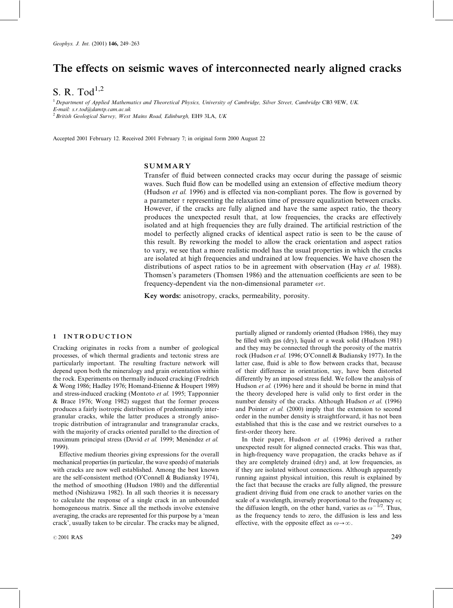# The effects on seismic waves of interconnected nearly aligned cracks

S. R. Tod $^{1,2}$ 

 $1$  Department of Applied Mathematics and Theoretical Physics, University of Cambridge, Silver Street, Cambridge CB3 9EW, UK. E-mail: s.r.tod@damtp.cam.ac.uk  $2$  British Geological Survey, West Mains Road, Edinburgh, EH9 3LA, UK

Accepted 2001 February 12. Received 2001 February 7; in original form 2000 August 22

## SUMMARY

Transfer of fluid between connected cracks may occur during the passage of seismic waves. Such fluid flow can be modelled using an extension of effective medium theory (Hudson et al. 1996) and is effected via non-compliant pores. The flow is governed by a parameter  $\tau$  representing the relaxation time of pressure equalization between cracks. However, if the cracks are fully aligned and have the same aspect ratio, the theory produces the unexpected result that, at low frequencies, the cracks are effectively isolated and at high frequencies they are fully drained. The artificial restriction of the model to perfectly aligned cracks of identical aspect ratio is seen to be the cause of this result. By reworking the model to allow the crack orientation and aspect ratios to vary, we see that a more realistic model has the usual properties in which the cracks are isolated at high frequencies and undrained at low frequencies. We have chosen the distributions of aspect ratios to be in agreement with observation (Hay *et al.* 1988). Thomsen's parameters (Thomsen 1986) and the attenuation coefficients are seen to be frequency-dependent via the non-dimensional parameter  $\omega \tau$ .

Key words: anisotropy, cracks, permeability, porosity.

## 1 INTRODUCTION

Cracking originates in rocks from a number of geological processes, of which thermal gradients and tectonic stress are particularly important. The resulting fracture network will depend upon both the mineralogy and grain orientation within the rock. Experiments on thermally induced cracking (Fredrich & Wong 1986; Hadley 1976; Homand-Etienne & Houpert 1989) and stress-induced cracking (Montoto et al. 1995; Tapponnier & Brace 1976; Wong 1982) suggest that the former process produces a fairly isotropic distribution of predominantly intergranular cracks, while the latter produces a strongly anisotropic distribution of intragranular and transgranular cracks, with the majority of cracks oriented parallel to the direction of maximum principal stress (David et al. 1999; Menéndez et al. 1999).

Effective medium theories giving expressions for the overall mechanical properties (in particular, the wave speeds) of materials with cracks are now well established. Among the best known are the self-consistent method (O'Connell & Budiansky 1974), the method of smoothing (Hudson 1980) and the differential method (Nishizawa 1982). In all such theories it is necessary to calculate the response of a single crack in an unbounded homogeneous matrix. Since all the methods involve extensive averaging, the cracks are represented for this purpose by a 'mean crack', usually taken to be circular. The cracks may be aligned,

 $\degree$  2001 RAS 249

partially aligned or randomly oriented (Hudson 1986), they may be filled with gas (dry), liquid or a weak solid (Hudson 1981) and they may be connected through the porosity of the matrix rock (Hudson et al. 1996; O'Connell & Budiansky 1977). In the latter case, fluid is able to flow between cracks that, because of their difference in orientation, say, have been distorted differently by an imposed stress field. We follow the analysis of Hudson et al. (1996) here and it should be borne in mind that the theory developed here is valid only to first order in the number density of the cracks. Although Hudson et al. (1996) and Pointer et al. (2000) imply that the extension to second order in the number density is straightforward, it has not been established that this is the case and we restrict ourselves to a first-order theory here.

In their paper, Hudson et al. (1996) derived a rather unexpected result for aligned connected cracks. This was that, in high-frequency wave propagation, the cracks behave as if they are completely drained (dry) and, at low frequencies, as if they are isolated without connections. Although apparently running against physical intuition, this result is explained by the fact that because the cracks are fully aligned, the pressure gradient driving fluid from one crack to another varies on the scale of a wavelength, inversely proportional to the frequency  $\omega$ ; the diffusion length, on the other hand, varies as  $\omega^{-1/2}$ . Thus, as the frequency tends to zero, the diffusion is less and less effective, with the opposite effect as  $\omega \rightarrow \infty$ .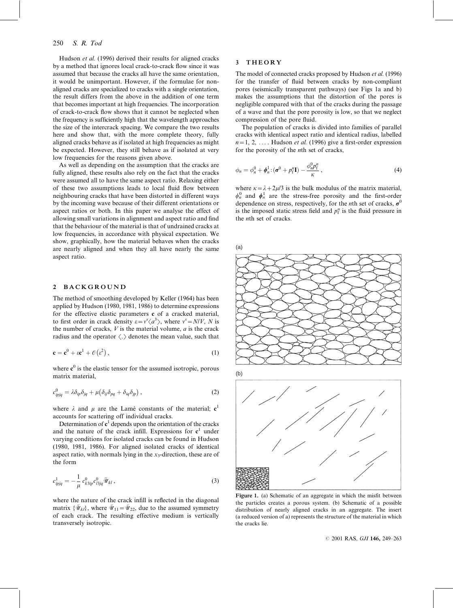Hudson et al. (1996) derived their results for aligned cracks by a method that ignores local crack-to-crack flow since it was assumed that because the cracks all have the same orientation, it would be unimportant. However, if the formulae for nonaligned cracks are specialized to cracks with a single orientation, the result differs from the above in the addition of one term that becomes important at high frequencies. The incorporation of crack-to-crack flow shows that it cannot be neglected when the frequency is sufficiently high that the wavelength approaches the size of the intercrack spacing. We compare the two results here and show that, with the more complete theory, fully aligned cracks behave as if isolated at high frequencies as might be expected. However, they still behave as if isolated at very low frequencies for the reasons given above.

As well as depending on the assumption that the cracks are fully aligned, these results also rely on the fact that the cracks were assumed all to have the same aspect ratio. Relaxing either of these two assumptions leads to local fluid flow between neighbouring cracks that have been distorted in different ways by the incoming wave because of their different orientations or aspect ratios or both. In this paper we analyse the effect of allowing small variations in alignment and aspect ratio and find that the behaviour of the material is that of undrained cracks at low frequencies, in accordance with physical expectation. We show, graphically, how the material behaves when the cracks are nearly aligned and when they all have nearly the same aspect ratio.

## 2 BACKGROUND

The method of smoothing developed by Keller (1964) has been applied by Hudson (1980, 1981, 1986) to determine expressions for the effective elastic parameters c of a cracked material, to first order in crack density  $\varepsilon = v^s \langle a^3 \rangle$ , where  $v^s = N/V$ , N is the number of cracks,  $V$  is the material volume,  $a$  is the crack radius and the operator  $\langle . \rangle$  denotes the mean value, such that

$$
\mathbf{c} = \mathbf{c}^0 + \varepsilon \mathbf{c}^1 + \mathcal{O}(\varepsilon^2) , \qquad (1)
$$

where  $c^0$  is the elastic tensor for the assumed isotropic, porous matrix material,

$$
c_{ipjq}^0 = \lambda \delta_{ip} \delta_{jq} + \mu \big( \delta_{ij} \delta_{pq} + \delta_{iq} \delta_{jp} \big) , \qquad (2)
$$

where  $\lambda$  and  $\mu$  are the Lamé constants of the material; c<sup>1</sup> accounts for scattering off individual cracks.

Determination of  $c<sup>1</sup>$  depends upon the orientation of the cracks and the nature of the crack infill. Expressions for  $c<sup>1</sup>$  under varying conditions for isolated cracks can be found in Hudson (1980, 1981, 1986). For aligned isolated cracks of identical aspect ratio, with normals lying in the  $x_3$ -direction, these are of the form

$$
c_{ipjq}^1 = -\frac{1}{\mu} c_{k3ip}^0 c_{l3jq}^0 \bar{\mathcal{U}}_{kl} , \qquad (3)
$$

where the nature of the crack infill is reflected in the diagonal matrix  $\{\bar{\mathcal{U}}_{kl}\}$ , where  $\bar{\mathcal{U}}_{11}=\bar{\mathcal{U}}_{22}$ , due to the assumed symmetry of each crack. The resulting effective medium is vertically transversely isotropic.

## 3 THEORY

The model of connected cracks proposed by Hudson et al. (1996) for the transfer of fluid between cracks by non-compliant pores (seismically transparent pathways) (see Figs 1a and b) makes the assumptions that the distortion of the pores is negligible compared with that of the cracks during the passage of a wave and that the pore porosity is low, so that we neglect compression of the pore fluid.

The population of cracks is divided into families of parallel cracks with identical aspect ratio and identical radius, labelled  $n=1, 2, \ldots$ . Hudson *et al.* (1996) give a first-order expression for the porosity of the nth set of cracks,

$$
\phi_n = \phi_n^0 + \phi_n^1 \colon (\sigma^0 + p_i^n \mathbf{I}) - \frac{\phi_n^0 p_i^n}{\kappa}, \tag{4}
$$

where  $\kappa = \lambda + 2\mu/3$  is the bulk modulus of the matrix material,  $\phi_n^0$  and  $\phi_n^1$  are the stress-free porosity and the first-order dependence on stress, respectively, for the *n*th set of cracks,  $\sigma^0$ is the imposed static stress field and  $p_f^n$  is the fluid pressure in the nth set of cracks.

(a)



Figure 1. (a) Schematic of an aggregate in which the misfit between the particles creates a porous system. (b) Schematic of a possible distribution of nearly aligned cracks in an aggregate. The insert (a reduced version of a) represents the structure of the material in which the cracks lie.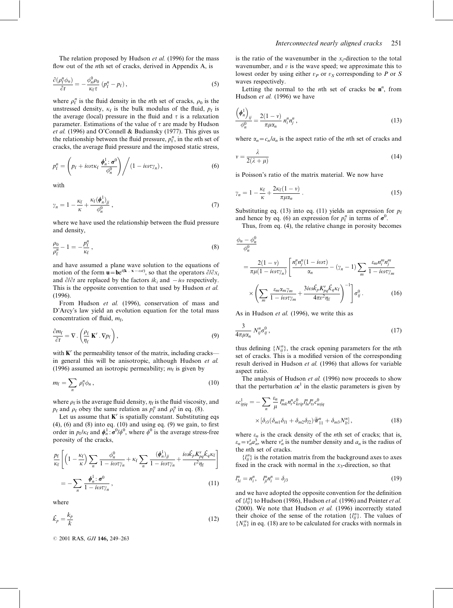The relation proposed by Hudson *et al.* (1996) for the mass flow out of the *n*th set of cracks, derived in Appendix A, is

$$
\frac{\partial(\rho_{\rm f}^n \phi_n)}{\partial t} = -\frac{\phi_n^0 \rho_0}{\kappa_{\rm f} \tau} (p_{\rm f}^n - p_{\rm f}),\tag{5}
$$

where  $\rho_f^n$  is the fluid density in the *n*th set of cracks,  $\rho_0$  is the unstressed density,  $\kappa_f$  is the bulk modulus of the fluid,  $p_f$  is the average (local) pressure in the fluid and  $\tau$  is a relaxation parameter. Estimations of the value of  $\tau$  are made by Hudson et al. (1996) and O'Connell & Budiansky (1977). This gives us the relationship between the fluid pressure,  $p_f^n$ , in the *n*th set of cracks, the average fluid pressure and the imposed static stress,

$$
p_{\rm f}^n = \left(p_{\rm f} + i\omega\tau\kappa_{\rm f}\frac{\phi_n^1: \sigma^0}{\phi_n^0}\right) / \left(1 - i\omega\tau\gamma_n\right),\tag{6}
$$

with

$$
\gamma_n = 1 - \frac{\kappa_f}{\kappa} + \frac{\kappa_f(\phi_n^1)_{jj}}{\phi_n^0} \,, \tag{7}
$$

where we have used the relationship between the fluid pressure and density,

$$
\frac{\rho_0}{\rho_{\rm f}^n} - 1 = -\frac{p_{\rm f}^n}{\kappa_{\rm f}}\,,\tag{8}
$$

and have assumed a plane wave solution to the equations of motion of the form  $\mathbf{u} = \mathbf{b} e^{i(\mathbf{k} \cdot \mathbf{x} - \omega t)}$ , so that the operators  $\partial/\partial x_i$ and  $\partial/\partial t$  are replaced by the factors  $ik_i$  and  $-i\omega$  respectively. This is the opposite convention to that used by Hudson et al. (1996).

From Hudson et al. (1996), conservation of mass and D'Arcy's law yield an evolution equation for the total mass concentration of fluid,  $m_f$ ,

$$
\frac{\partial m_{\rm f}}{\partial t} = \nabla \cdot \left( \frac{\rho_{\rm f}}{\eta_{\rm f}} \, \mathbf{K}^r \cdot \nabla p_{\rm f} \right),\tag{9}
$$

with  $K<sup>r</sup>$  the permeability tensor of the matrix, including cracks in general this will be anisotropic, although Hudson et al. (1996) assumed an isotropic permeability;  $m_f$  is given by

$$
m_{\rm f} = \sum_n \rho_{\rm f}^n \phi_n \,, \tag{10}
$$

where  $\rho_f$  is the average fluid density,  $\eta_f$  is the fluid viscosity, and  $p_f$  and  $\rho_f$  obey the same relation as  $p_f^n$  and  $\rho_f^n$  in eq. (8).

Let us assume that  $K<sup>r</sup>$  is spatially constant. Substituting eqs  $(4)$ ,  $(6)$  and  $(8)$  into eq.  $(10)$  and using eq.  $(9)$  we gain, to first order in  $p_f/\kappa_f$  and  $\phi_n^1$ :  $\sigma^0/\phi^0$ , where  $\phi^0$  is the average stress-free porosity of the cracks,

$$
\frac{p_{\rm f}}{\kappa_{\rm f}} \left[ \left( 1 - \frac{\kappa_{\rm f}}{\kappa} \right) \sum_{n} \frac{\phi_{n}^{0}}{1 - i \omega \tau \gamma_{n}} + \kappa_{\rm f} \sum_{n} \frac{(\phi_{n}^{1})_{jj}}{1 - i \omega \tau \gamma_{n}} + \frac{i \omega \hat{k}_{p} K_{pq}^{\prime} \hat{k}_{q} \kappa_{\rm f}}{v^{2} \eta_{\rm f}} \right]
$$
\n
$$
= - \sum_{n} \frac{\phi_{n}^{1} : \sigma^{0}}{1 - i \omega \tau \gamma_{n}}, \qquad (11)
$$

where

$$
\hat{k}_p = \frac{k_p}{k} \tag{12}
$$

© 2001 RAS, GJI 146, 249-263

is the ratio of the wavenumber in the  $x_i$ -direction to the total wavenumber, and  $v$  is the wave speed; we approximate this to lowest order by using either  $v_P$  or  $v_S$  corresponding to P or S waves respectively.

Letting the normal to the *n*th set of cracks be  $n^n$ , from Hudson et al. (1996) we have

$$
\frac{(\phi_n^1)}{\phi_n^0} = \frac{2(1-\nu)}{\pi\mu\alpha_n} n_i^n n_j^n,
$$
\n(13)

where  $\alpha_n = c_n/a_n$  is the aspect ratio of the *n*th set of cracks and

$$
v = \frac{\lambda}{2(\lambda + \mu)}\tag{14}
$$

is Poisson's ratio of the matrix material. We now have

$$
\gamma_n = 1 - \frac{\kappa_f}{\kappa} + \frac{2\kappa_f(1-\nu)}{\pi\mu\alpha_n} \,. \tag{15}
$$

Substituting eq. (13) into eq. (11) yields an expression for  $p_f$ and hence by eq. (6) an expression for  $p_f^n$  in terms of  $\sigma^0$ .

Thus, from eq. (4), the relative change in porosity becomes

$$
\frac{\phi_n - \phi_n^0}{\phi_n^0} = \frac{2(1 - v)}{\pi \mu (1 - i\omega \tau)_{n}} \left[ \frac{n_i^n n_j^n (1 - i\omega \tau)}{\alpha_n} - (\gamma_n - 1) \sum_m \frac{\varepsilon_m n_i^m n_j^m}{1 - i\omega \tau \gamma_m} \right]
$$

$$
\times \left( \sum_m \frac{\varepsilon_m \alpha_m \gamma_m}{1 - i\omega \tau \gamma_m} + \frac{3i\omega \hat{k}_p K_{pq}^r \hat{k}_q \kappa_f}{4\pi \nu^2 \eta_f} \right)^{-1} \left[ \sigma_{ij}^0. \right] \tag{16}
$$

As in Hudson et al. (1996), we write this as

$$
\frac{3}{4\pi\mu\alpha_n} N_{ij}^n \sigma_{ij}^0, \qquad (17)
$$

thus defining  $\{N_{ij}^n\}$ , the crack opening parameters for the *n*th set of cracks. This is a modified version of the corresponding result derived in Hudson et al. (1996) that allows for variable aspect ratio.

The analysis of Hudson et al. (1996) now proceeds to show that the perturbation  $\epsilon c^1$  in the elastic parameters is given by

$$
\begin{split} \varepsilon c_{ipjq}^1 &= -\sum_n \frac{\varepsilon_n}{\mu} \, l_{mk}^m n_r^n c_{krip}^0 l_{lu}^n l_{ls}^n c_{usjq}^0 \\ &\times \left[ \delta_{t3} (\delta_{m1} \delta_{l1} + \delta_{m2} \delta_{l2}) \bar{\mathcal{W}}_{l1}^n + \delta_{m3} N_{ll}^n \right], \end{split} \tag{18}
$$

where  $\varepsilon_n$  is the crack density of the *n*th set of cracks; that is,  $\varepsilon_n = v_n^s a_n^3$ , where  $v_n^s$  is the number density and  $a_n$  is the radius of the nth set of cracks.

 ${l_{ij}}^n$  is the rotation matrix from the background axes to axes fixed in the crack with normal in the  $x_3$ -direction, so that

$$
l_{3i}^n = n_i^n, \quad l_{ji}^n n_i^n = \delta_{j3} \tag{19}
$$

and we have adopted the opposite convention for the definition of  $\{l_{ij}^n\}$  to Hudson (1986), Hudson *et al.* (1996) and Pointer *et al.* (2000). We note that Hudson *et al.* (1996) incorrectly stated their choice of the sense of the rotation  $\{l_{ij}^n\}$ . The values of  $\{N_{lt}^n\}$  in eq. (18) are to be calculated for cracks with normals in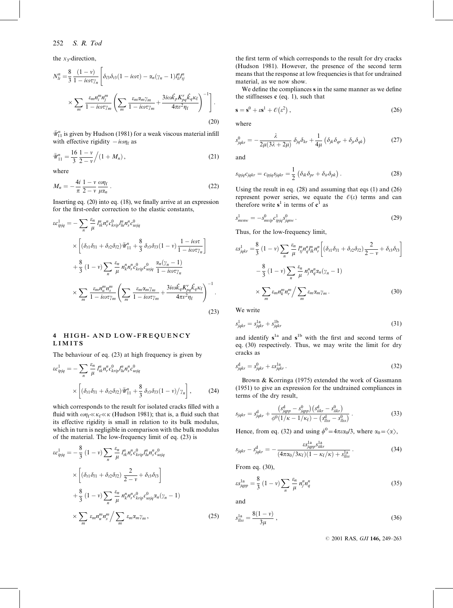the  $x_3$ -direction,

$$
N_{lt}^{n} = \frac{8}{3} \frac{(1 - v)}{1 - i\omega\tau\gamma_{n}} \left[ \delta_{l3}\delta_{l3}(1 - i\omega\tau) - \alpha_{n}(\gamma_{n} - 1)I_{lt}^{n}I_{tj}^{n} \times \sum_{m} \frac{\varepsilon_{m}n_{l}^{m}n_{j}^{m}}{1 - i\omega\tau\gamma_{m}} \left( \sum_{m} \frac{\varepsilon_{m}\alpha_{m}\gamma_{m}}{1 - i\omega\tau\gamma_{m}} + \frac{3i\omega\hat{k}_{p}K_{pq}^{r}\hat{k}_{q}\kappa_{f}}{4\pi\nu^{2}\eta_{f}} \right)^{-1} \right].
$$
\n(20)

 $\bar{\mathcal{W}}_{11}^n$  is given by Hudson (1981) for a weak viscous material infill with effective rigidity  $-i\omega\eta_f$  as

$$
\bar{\mathcal{U}}_{11}^{n} = \frac{16}{3} \frac{1 - v}{2 - v} / (1 + M_n), \qquad (21)
$$

where

$$
M_n = -\frac{4i}{\pi} \frac{1 - v}{2 - v} \frac{\omega \eta_f}{\mu \alpha_n} \,. \tag{22}
$$

Inserting eq. (20) into eq. (18), we finally arrive at an expression for the first-order correction to the elastic constants,

$$
\begin{split} \varepsilon c_{ipjq}^1 &= -\sum_n \frac{\varepsilon_n}{\mu} \, l_{ik}^n n_r^n c_{krip}^0 l_{lu}^n n_s^n c_{usjq}^0 \\ &\times \left[ (\delta_{i1} \delta_{l1} + \delta_{i2} \delta_{l2}) \overline{\Psi}_{11}^n + \frac{8}{3} \, \delta_{i3} \delta_{l3} (1 - \nu) \frac{1 - i\omega \tau}{1 - i\omega \tau \gamma_n} \right] \\ &+ \frac{8}{3} \, (1 - \nu) \sum_n \frac{\varepsilon_n}{\mu} \, n_k^n n_r^n c_{krip}^0 c_{usjq}^0 \, \frac{\alpha_n (\gamma_n - 1)}{1 - i\omega \tau \gamma_n} \\ &\times \sum_m \frac{\varepsilon_m n_u^m n_s^m}{1 - i\omega \tau \gamma_m} \left( \sum_m \frac{\varepsilon_m \alpha_m \gamma_m}{1 - i\omega \tau \gamma_m} + \frac{3i\omega \hat{k}_q K_{pq}^r \hat{k}_q \kappa_f}{4\pi \nu^2 \eta_f} \right)^{-1} . \end{split} \tag{23}
$$

## 4 HIGH- AND LOW-FREQUENCY LIMITS

The behaviour of eq. (23) at high frequency is given by

$$
\varepsilon c_{ipjq}^1 = -\sum_{n} \frac{\varepsilon_n}{\mu} l_{ik}^n n_r^n c_{krip}^0 l_{lu}^n n_s^n c_{usjq}^0
$$

$$
\times \left[ (\delta_{t1} \delta_{l1} + \delta_{t2} \delta_{l2}) \bar{\mathcal{U}}_{11}^n + \frac{8}{3} \delta_{t3} \delta_{l3} (1 - v) / \gamma_n \right],
$$
(24)

which corresponds to the result for isolated cracks filled with a fluid with  $\omega \eta_f \ll \kappa_f \ll \kappa$  (Hudson 1981); that is, a fluid such that its effective rigidity is small in relation to its bulk modulus, which in turn is negligible in comparison with the bulk modulus of the material. The low-frequency limit of eq. (23) is

$$
\varepsilon c_{ipjq}^1 = -\frac{8}{3} (1 - v) \sum_n \frac{\varepsilon_n}{\mu} l_{ik}^n n_r^n c_{krip}^0 l_{lu}^n n_s^n c_{usjq}^0
$$

$$
\times \left[ (\delta_{i1} \delta_{i1} + \delta_{i2} \delta_{i2}) \frac{2}{2 - v} + \delta_{i3} \delta_{i3} \right]
$$

$$
+ \frac{8}{3} (1 - v) \sum_n \frac{\varepsilon_n}{\mu} n_k^n n_r^n c_{krip}^0 c_{usjq}^0 \alpha_n (\gamma_n - 1)
$$

$$
\times \sum_m \varepsilon_m n_u^m n_s^m / \sum_m \varepsilon_m \alpha_m \gamma_m , \qquad (25)
$$

the first term of which corresponds to the result for dry cracks (Hudson 1981). However, the presence of the second term means that the response at low frequencies is that for undrained material, as we now show.

We define the compliances s in the same manner as we define the stiffnesses  $c$  (eq. 1), such that

$$
\mathbf{s} = \mathbf{s}^0 + \varepsilon \mathbf{s}^1 + \mathcal{O}(\varepsilon^2) \,,\tag{26}
$$

where

$$
s_{jqkr}^0 = -\frac{\lambda}{2\mu(3\lambda + 2\mu)} \delta_{jq} \delta_{kr} + \frac{1}{4\mu} \left( \delta_{jk} \delta_{qr} + \delta_{jr} \delta_{qk} \right)
$$
 (27)

and

$$
s_{ipjq}c_{jqkr} = c_{ipjq}s_{jqkr} = \frac{1}{2} \left( \delta_{ik} \delta_{pr} + \delta_{ir} \delta_{pk} \right).
$$
 (28)

Using the result in eq. (28) and assuming that eqs (1) and (26) represent power series, we equate the  $\mathcal{O}(\varepsilon)$  terms and can therefore write  $s^1$  in terms of  $c^1$  as

$$
s_{m\bar{c}m\bar{c}}^{1} = -s_{m\bar{c}m\bar{c}}^{0} c_{ipjq}^{1} s_{jq\bar{m}\bar{v}}^{0} \tag{29}
$$

Thus, for the low-frequency limit,

$$
\varepsilon s_{jqkr}^{1} = \frac{8}{3} (1 - v) \sum_{n} \frac{\varepsilon_{n}}{\mu} l_{ij}^{n} n_{q}^{n} l_{ik}^{n} n_{r}^{n} \left[ (\delta_{t1} \delta_{l1} + \delta_{t2} \delta_{l2}) \frac{2}{2 - v} + \delta_{t3} \delta_{l3} \right]
$$

$$
- \frac{8}{3} (1 - v) \sum_{n} \frac{\varepsilon_{n}}{\mu} n_{j}^{n} n_{q}^{n} \alpha_{n} (\gamma_{n} - 1)
$$

$$
\times \sum_{m} \varepsilon_{m} n_{k}^{m} n_{r}^{m} / \sum_{m} \varepsilon_{m} \alpha_{m} \gamma_{m} . \tag{30}
$$

We write

$$
s_{jqkr}^1 = s_{jqkr}^{1a} + s_{jqkr}^{1b} \tag{31}
$$

and identify  $s^{1a}$  and  $s^{1b}$  with the first and second terms of eq. (30) respectively. Thus, we may write the limit for dry cracks as

$$
s_{jqkr}^d = s_{jqkr}^0 + \varepsilon s_{jqkr}^{1a} \,. \tag{32}
$$

Brown & Korringa (1975) extended the work of Gassmann (1951) to give an expression for the undrained compliances in terms of the dry result,

$$
s_{jqkr} = s_{jqkr}^{d} + \frac{(s_{jqpp}^{d} - s_{jqpp}^{0})(s_{iikr}^{d} - s_{iikr}^{0})}{\phi^{0}(1/\kappa - 1/\kappa_{f}) - (s_{lks}^{d} - s_{lks}^{0})}.
$$
 (33)

Hence, from eq. (32) and using  $\phi^0 = 4\pi\varepsilon\alpha_0/3$ , where  $\alpha_0 = \langle \alpha \rangle$ ,

$$
s_{jqkr} - s_{jqkr}^{\rm d} = -\frac{\varepsilon s_{jqpp}^{\rm 1a} s_{jllkr}^{\rm 1a}}{(4\pi\alpha_0/3\kappa_{\rm f})(1-\kappa_{\rm f}/\kappa) + s_{llss}^{\rm 1a}}.\tag{34}
$$

From eq. (30),

$$
\varepsilon s_{jqpp}^{1a} = \frac{8}{3} \left( 1 - v \right) \sum_{n} \frac{\varepsilon_n}{\mu} n_j^n n_q^n \tag{35}
$$

and

$$
s_{llss}^{1a} = \frac{8(1 - v)}{3\mu} \,,
$$
\n(36)

© 2001 RAS, GJI 146, 249-263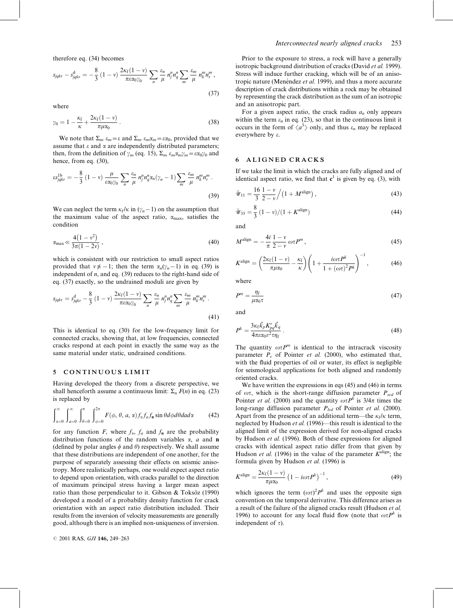therefore eq. (34) becomes

$$
s_{jqkr} - s_{jqkr}^{d} = -\frac{8}{3} (1 - v) \frac{2\kappa_f (1 - v)}{\pi \epsilon \alpha_0 \gamma_0} \sum_{n} \frac{\epsilon_n}{\mu} n_j^n n_q^n \sum_{m} \frac{\epsilon_m}{\mu} n_k^m n_r^m,
$$
\n(37)

where

$$
\gamma_0 = 1 - \frac{\kappa_f}{\kappa} + \frac{2\kappa_f(1-\nu)}{\pi\mu\alpha_0} \,. \tag{38}
$$

We note that  $\Sigma_m \varepsilon_m = \varepsilon$  and  $\Sigma_m \varepsilon_m \alpha_m = \varepsilon \alpha_0$ , provided that we assume that  $\varepsilon$  and  $\alpha$  are independently distributed parameters; then, from the definition of  $\gamma_m$  (eq. 15),  $\Sigma_m \varepsilon_m \alpha_m \gamma_m = \varepsilon \alpha_0 \gamma_0$  and hence, from eq. (30),

$$
\varepsilon s_{jqkr}^{1b} = -\frac{8}{3} \left( 1 - v \right) \frac{\mu}{\varepsilon \alpha_0 \gamma_0} \sum_n \frac{\varepsilon_n}{\mu} n_j^n n_q^n \alpha_n (\gamma_n - 1) \sum_m \frac{\varepsilon_m}{\mu} n_k^m n_r^m \,. \tag{39}
$$

We can neglect the term  $\kappa_f/\kappa$  in  $(\gamma_n-1)$  on the assumption that the maximum value of the aspect ratio,  $\alpha_{\text{max}}$ , satisfies the condition

$$
\alpha_{\text{max}} \ll \frac{4(1 - v^2)}{3\pi(1 - 2v)},\tag{40}
$$

which is consistent with our restriction to small aspect ratios provided that  $v \neq -1$ ; then the term  $\alpha_n(\gamma_n-1)$  in eq. (39) is independent of  $n$ , and eq. (39) reduces to the right-hand side of eq. (37) exactly, so the undrained moduli are given by

$$
s_{jqkr} = s_{jqkr}^d - \frac{8}{3} (1 - v) \frac{2\kappa_f (1 - v)}{\pi \varepsilon \alpha_0 \gamma_0} \sum_n \frac{\varepsilon_n}{\mu} n_j^n n_q^n \sum_m \frac{\varepsilon_m}{\mu} n_k^m n_r^m.
$$
\n(41)

This is identical to eq. (30) for the low-frequency limit for connected cracks, showing that, at low frequencies, connected cracks respond at each point in exactly the same way as the same material under static, undrained conditions.

## 5 CONTINUOUS LIMIT

Having developed the theory from a discrete perspective, we shall henceforth assume a continuous limit:  $\Sigma_n F(n)$  in eq. (23) is replaced by

$$
\int_{\alpha=0}^{\infty} \int_{a=0}^{\infty} \int_{\theta=0}^{\pi} \int_{\phi=0}^{2\pi} F(\phi, \theta, a, \alpha) f_{\alpha} f_a f_{\mathbf{n}} \sin \theta d\phi d\theta da d\alpha \tag{42}
$$

for any function F, where  $f_{\alpha}$ ,  $f_a$  and  $f_{\bf{n}}$  are the probability distribution functions of the random variables  $\alpha$ , a and **n** (defined by polar angles  $\phi$  and  $\theta$ ) respectively. We shall assume that these distributions are independent of one another, for the purpose of separately assessing their effects on seismic anisotropy. More realistically perhaps, one would expect aspect ratio to depend upon orientation, with cracks parallel to the direction of maximum principal stress having a larger mean aspect ratio than those perpendicular to it. Gibson & Toksöz (1990) developed a model of a probability density function for crack orientation with an aspect ratio distribution included. Their results from the inversion of velocity measurements are generally good, although there is an implied non-uniqueness of inversion.

### Interconnected nearly aligned cracks 253

Prior to the exposure to stress, a rock will have a generally isotropic background distribution of cracks (David et al. 1999). Stress will induce further cracking, which will be of an anisotropic nature (Menéndez et al. 1999), and thus a more accurate description of crack distributions within a rock may be obtained by representing the crack distribution as the sum of an isotropic and an anisotropic part.

For a given aspect ratio, the crack radius  $a_n$  only appears within the term  $\varepsilon_n$  in eq. (23), so that in the continuous limit it occurs in the form of  $\langle a^3 \rangle$  only, and thus  $\varepsilon_n$  may be replaced everywhere by e.

## 6 ALIGNED CRACKS

If we take the limit in which the cracks are fully aligned and of identical aspect ratio, we find that  $c^1$  is given by eq. (3), with

$$
\bar{u}_{11} = \frac{16}{3} \frac{1 - v}{2 - v} / (1 + M^{\text{align}}), \qquad (43)
$$

$$
\bar{\mathscr{U}}_{33} = \frac{8}{3} (1 - v) / (1 + K^{\text{align}})
$$
 (44)

and

$$
M^{\text{align}} = -\frac{4i}{\pi} \frac{1 - v}{2 - v} \omega \tau P^m, \qquad (45)
$$

$$
K^{\text{align}} = \left(\frac{2\kappa_f(1-\nu)}{\pi\mu\alpha_0} - \frac{\kappa_f}{\kappa}\right) \left(1 + \frac{i\omega\tau P^k}{1 + (\omega\tau)^2 P^k}\right)^{-1},\tag{46}
$$

where

$$
P^{m} = \frac{\eta_{\rm f}}{\mu \alpha_{0} \tau} \tag{47}
$$

and

$$
P^k = \frac{3\kappa_f \hat{k}_p K_{pq}^r \hat{k}_q}{4\pi \epsilon \alpha_0 v^2 \tau \eta_f} \,. \tag{48}
$$

The quantity  $\omega \tau P^m$  is identical to the intracrack viscosity parameter  $P<sub>n</sub>$  of Pointer *et al.* (2000), who estimated that, with the fluid properties of oil or water, its effect is negligible for seismological applications for both aligned and randomly oriented cracks.

We have written the expressions in eqs (45) and (46) in terms of  $\omega \tau$ , which is the short-range diffusion parameter  $P_{\rm{srd}}$  of Pointer *et al.* (2000) and the quantity  $\omega \tau P^k$  is  $3/4\pi$  times the long-range diffusion parameter  $P_{lrd}$  of Pointer *et al.* (2000). Apart from the presence of an additional term—the  $\kappa_f/\kappa$  term, neglected by Hudson et al. (1996)—this result is identical to the aligned limit of the expression derived for non-aligned cracks by Hudson et al. (1996). Both of these expressions for aligned cracks with identical aspect ratio differ from that given by Hudson et al. (1996) in the value of the parameter  $K^{\text{align}}$ ; the formula given by Hudson et al. (1996) is

$$
K^{\text{align}} = \frac{2\kappa_f(1-\nu)}{\pi\mu\alpha_0} \left(1 - i\omega\tau P^k\right)^{-1},\tag{49}
$$

which ignores the term  $(\omega \tau)^2 P^k$  and uses the opposite sign convention on the temporal derivative. This difference arises as a result of the failure of the aligned cracks result (Hudson et al. 1996) to account for any local fluid flow (note that  $\omega \tau P^k$  is independent of  $\tau$ ).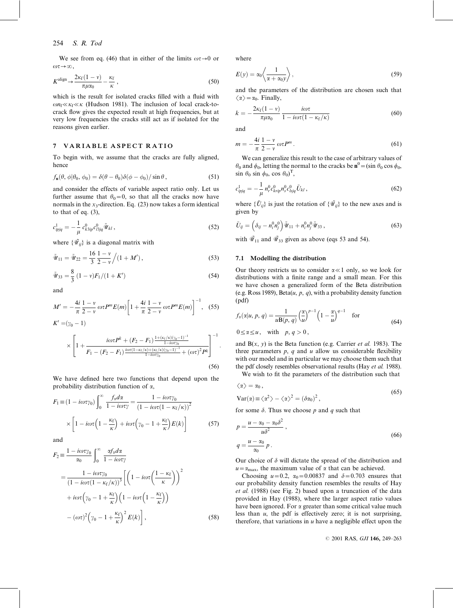We see from eq. (46) that in either of the limits  $\omega\tau \rightarrow 0$  or  $\omega\tau\rightarrow\infty$ .

$$
K^{\text{align}} \to \frac{2\kappa_f(1-\nu)}{\pi\mu\alpha_0} - \frac{\kappa_f}{\kappa} \,,\tag{50}
$$

which is the result for isolated cracks filled with a fluid with  $\omega n_f \ll \kappa_f \ll \kappa$  (Hudson 1981). The inclusion of local crack-tocrack flow gives the expected result at high frequencies, but at very low frequencies the cracks still act as if isolated for the reasons given earlier.

#### 7 VARIABLE ASPECT RATIO

To begin with, we assume that the cracks are fully aligned, hence

$$
f_{\mathbf{n}}(\theta, \phi | \theta_0, \phi_0) = \delta(\theta - \theta_0)\delta(\phi - \phi_0)/\sin \theta, \qquad (51)
$$

and consider the effects of variable aspect ratio only. Let us further assume that  $\theta_0=0$ , so that all the cracks now have normals in the  $x_3$ -direction. Eq. (23) now takes a form identical to that of eq. (3),

$$
c_{ipjq}^1 = -\frac{1}{\mu} c_{k3ip}^0 c_{l3jq}^0 \tilde{\mathcal{U}}_{kl} , \qquad (52)
$$

where  $\{\tilde{\psi}_{ii}\}\$ is a diagonal matrix with

$$
\tilde{\mathcal{U}}_{11} = \tilde{\mathcal{U}}_{22} = \frac{16}{3} \frac{1 - v}{2 - v} / (1 + M'),\tag{53}
$$

$$
\tilde{\mathscr{U}}_{33} = \frac{8}{3} (1 - v) F_1 / (1 + K') \tag{54}
$$

and

$$
M' = -\frac{4i}{\pi} \frac{1 - v}{2 - v} \omega \tau P^{m} E(m) \left[ 1 + \frac{4i}{\pi} \frac{1 - v}{2 - v} \omega \tau P^{m} E(m) \right]^{-1}, \quad (55)
$$
  

$$
K' = (\gamma_0 - 1)
$$

$$
\times \left[1 + \frac{i\omega\tau P^{k} + (F_{2} - F_{1})\frac{1 + (\kappa_{f}/\kappa)(\gamma_{0} - 1)^{-1}}{1 - i\omega\tau\gamma_{0}}}{F_{1} - (F_{2} - F_{1})\frac{i\omega\tau(1 - \kappa_{f}/\kappa) + (\kappa_{f}/\kappa)(\gamma_{0} - 1)^{-1}}{1 - i\omega\tau\gamma_{0}}} + (\omega\tau)^{2}P^{k}\right]^{-1}.
$$
\n(56)

We have defined here two functions that depend upon the probability distribution function of  $\alpha$ ,

$$
F_1 \equiv (1 - i\omega\tau\gamma_0) \int_0^\infty \frac{f_x d\alpha}{1 - i\omega\tau\gamma} = \frac{1 - i\omega\tau\gamma_0}{(1 - i\omega\tau(1 - \kappa_f/\kappa))^2}
$$

$$
\times \left[1 - i\omega\tau\left(1 - \frac{\kappa_f}{\kappa}\right) + i\omega\tau\left(\gamma_0 - 1 + \frac{\kappa_f}{\kappa}\right)E(k)\right]
$$
(57)

and

$$
F_2 \equiv \frac{1 - i\omega\tau\gamma_0}{\alpha_0} \int_0^\infty \frac{\alpha f_x d\alpha}{1 - i\omega\tau\gamma}
$$
  
= 
$$
\frac{1 - i\omega\tau\gamma_0}{\left(1 - i\omega\tau\left(1 - \kappa_f/\kappa\right)\right)^3} \left[ \left(1 - i\omega\tau\left(\frac{1 - \kappa_f}{\kappa}\right)\right)^2 + i\omega\tau\left(\gamma_0 - 1 + \frac{\kappa_f}{\kappa}\right) \left(1 - i\omega\tau\left(1 - \frac{\kappa_f}{\kappa}\right)\right) - (\omega\tau)^2 \left(\gamma_0 - 1 + \frac{\kappa_f}{\kappa}\right)^2 E(k) \right],
$$
 (58)

where

$$
E(y) = \alpha_0 \left\langle \frac{1}{\alpha + \alpha_0 y} \right\rangle, \tag{59}
$$

and the parameters of the distribution are chosen such that  $\langle \alpha \rangle = \alpha_0$ . Finally,

$$
k = -\frac{2\kappa_f(1-\nu)}{\pi\mu\alpha_0} \frac{i\omega\tau}{1 - i\omega\tau(1 - \kappa_f/\kappa)}
$$
(60)

and

$$
m = -\frac{4i}{\pi} \frac{1 - v}{2 - v} \omega \tau P^{m}.
$$
 (61)

We can generalize this result to the case of arbitrary values of  $\theta_0$  and  $\phi_0$ , letting the normal to the cracks be  $\mathbf{n}^0 = (\sin \theta_0 \cos \phi_0, \sin \theta_0 \cos \phi_0)$  $\sin \theta_0 \sin \phi_0$ ,  $\cos \theta_0$ <sup>T</sup>,

$$
c_{ipjq}^1 = -\frac{1}{\mu} n_r^0 c_{krip}^0 n_s^0 c_{lsjq}^0 \tilde{U}_{kl} ,
$$
 (62)

where  $\{\tilde{U}_{ii}\}\$ is just the rotation of  $\{\tilde{\mathcal{U}}_{ii}\}\$ to the new axes and is given by

$$
\tilde{U}_{ij} = \left(\delta_{ij} - n_i^0 n_j^0\right) \tilde{\mathcal{U}}_{11} + n_i^0 n_j^0 \tilde{\mathcal{U}}_{33},\tag{63}
$$

with  $\tilde{W}_{11}$  and  $\tilde{W}_{33}$  given as above (eqs 53 and 54).

## 7.1 Modelling the distribution

Our theory restricts us to consider  $\alpha \ll 1$  only, so we look for distributions with a finite range and a small mean. For this we have chosen a generalized form of the Beta distribution (e.g. Ross 1989), Beta $(u, p, q)$ , with a probability density function (pdf)

$$
f_{\alpha}(\alpha|u, p, q) = \frac{1}{u \mathbf{B}(p, q)} \left(\frac{\alpha}{u}\right)^{p-1} \left(1 - \frac{\alpha}{u}\right)^{q-1} \quad \text{for}
$$
  
 
$$
0 \le \alpha \le u, \quad \text{with} \quad p, q > 0,
$$
 (64)

and  $B(x, y)$  is the Beta function (e.g. Carrier *et al.* 1983). The three parameters  $p$ ,  $q$  and  $u$  allow us considerable flexibility with our model and in particular we may choose them such that the pdf closely resembles observational results (Hay et al. 1988).

We wish to fit the parameters of the distribution such that

$$
\langle \alpha \rangle = \alpha_0, \nVar(\alpha) = \langle \alpha^2 \rangle - \langle \alpha \rangle^2 - (\delta \alpha_0)^2
$$
\n(65)

$$
\mathbf{Var}(\mathbf{x}) = \langle \mathbf{x} \rangle \quad \langle \mathbf{x} \rangle = (\mathbf{Var}(y)),
$$

for some  $\delta$ . Thus we choose p and q such that

$$
p = \frac{u - \alpha_0 - \alpha_0 \delta^2}{u \delta^2},
$$
  
\n
$$
q = \frac{u - \alpha_0}{\alpha_0} p.
$$
\n(66)

Our choice of  $\delta$  will dictate the spread of the distribution and  $u = \alpha_{\text{max}}$ , the maximum value of  $\alpha$  that can be achieved.

Choosing  $u=0.2$ ,  $\alpha_0=0.00837$  and  $\delta=0.703$  ensures that our probability density function resembles the results of Hay et al. (1988) (see Fig. 2) based upon a truncation of the data provided in Hay (1988), where the larger aspect ratio values have been ignored. For  $\alpha$  greater than some critical value much less than  $u$ , the pdf is effectively zero; it is not surprising, therefore, that variations in  $u$  have a negligible effect upon the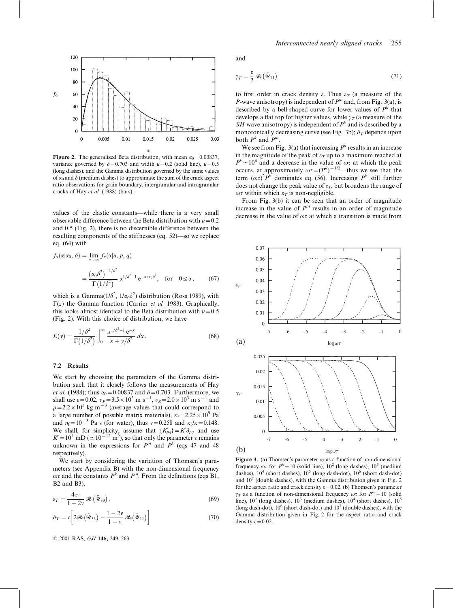

Figure 2. The generalized Beta distribution, with mean  $\alpha_0 = 0.00837$ , variance governed by  $\delta = 0.703$  and width  $u = 0.2$  (solid line),  $u = 0.5$ (long dashes), and the Gamma distribution governed by the same values of  $\alpha_0$  and  $\delta$  (medium dashes) to approximate the sum of the crack aspect ratio observations for grain boundary, intergranular and intragranular cracks of Hay et al. (1988) (bars).

values of the elastic constants—while there is a very small observable difference between the Beta distribution with  $u=0.2$ and 0.5 (Fig. 2), there is no discernible difference between the resulting components of the stiffnesses (eq. 52)—so we replace eq. (64) with

$$
f_{\alpha}(\alpha|\alpha_0, \delta) = \lim_{u \to \infty} f_{\alpha}(\alpha|u, p, q)
$$
  
= 
$$
\frac{(\alpha_0 \delta^2)^{-1/\delta^2}}{\Gamma(1/\delta^2)} \alpha^{1/\delta^2 - 1} e^{-\alpha/\alpha_0 \delta^2}, \text{ for } 0 \le \alpha,
$$
 (67)

which is a Gamma $(1/\delta^2, 1/\alpha_0 \delta^2)$  distribution (Ross 1989), with  $\Gamma(z)$  the Gamma function (Carrier *et al.* 1983). Graphically, this looks almost identical to the Beta distribution with  $u=0.5$ (Fig. 2). With this choice of distribution, we have

$$
E(y) = \frac{1/\delta^2}{\Gamma(1/\delta^2)} \int_0^\infty \frac{x^{1/\delta^2 - 1} e^{-x}}{x + y/\delta^2} dx.
$$
 (68)

#### 7.2 Results

We start by choosing the parameters of the Gamma distribution such that it closely follows the measurements of Hay *et al.* (1988); thus  $\alpha_0$  = 0.00837 and  $\delta$  = 0.703. Furthermore, we shall use  $\varepsilon = 0.02$ ,  $v_P = 3.5 \times 10^3$  m s<sup>-1</sup>,  $v_S = 2.0 \times 10^3$  m s<sup>-1</sup> and  $\rho$ =2.2 × 10<sup>3</sup> kg m<sup>-3</sup> (average values that could correspond to a large number of possible matrix materials),  $\kappa_f = 2.25 \times 10^9$  Pa and  $\eta_f=10^{-3}$  Pa s (for water), thus  $v=0.258$  and  $\kappa_f/\kappa=0.148$ . We shall, for simplicity, assume that  $\{K_{pq}\} = K^r \delta_{pq}$  and use  $K' = 10^3$  mD ( $\simeq 10^{-12}$  m<sup>2</sup>), so that only the parameter  $\tau$  remains unknown in the expressions for  $P^m$  and  $P^k$  (eqs 47 and 48) respectively).

We start by considering the variation of Thomsen's parameters (see Appendix B) with the non-dimensional frequency  $\omega\tau$  and the constants  $P^k$  and  $P^m$ . From the definitions (eqs B1, B2 and B3),

$$
\varepsilon_T = \frac{4\varepsilon v}{1 - 2v} \mathcal{R}e(\tilde{\mathcal{U}}_{33}),\tag{69}
$$

$$
\delta_T = \varepsilon \left[ 2\Re(\tilde{\mathscr{U}}_{33}) - \frac{1 - 2v}{1 - v} \Re(\tilde{\mathscr{U}}_{11}) \right]
$$
(70)

© 2001 RAS, GJI 146, 249-263

and

$$
\gamma_T = \frac{\varepsilon}{2} \mathcal{R}_e(\tilde{\mathcal{U}}_{11}) \tag{71}
$$

to first order in crack density  $\varepsilon$ . Thus  $\varepsilon_T$  (a measure of the P-wave anisotropy) is independent of  $P<sup>m</sup>$  and, from Fig. 3(a), is described by a bell-shaped curve for lower values of  $P^k$  that develops a flat top for higher values, while  $\gamma_T$  (a measure of the SH-wave anisotropy) is independent of  $P^k$  and is described by a monotonically decreasing curve (see Fig. 3b);  $\delta_T$  depends upon both  $P^k$  and  $P^m$ .

We see from Fig. 3(a) that increasing  $P<sup>k</sup>$  results in an increase in the magnitude of the peak of  $\varepsilon_T$  up to a maximum reached at  $P^{k} \approx 10^{6}$  and a decrease in the value of  $\omega\tau$  at which the peak occurs, at approximately  $\omega \tau = (P^k)^{-1/2}$ —thus we see that the term  $(\omega \tau)^2 P^k$  dominates eq. (56). Increasing  $P^k$  still further does not change the peak value of  $\varepsilon_T$ , but broadens the range of  $\omega\tau$  within which  $\varepsilon_T$  is non-negligible.

From Fig. 3(b) it can be seen that an order of magnitude increase in the value of  $P<sup>m</sup>$  results in an order of magnitude decrease in the value of  $\omega\tau$  at which a transition is made from



Figure 3. (a) Thomsen's parameter  $\varepsilon_T$  as a function of non-dimensional frequency  $\omega\tau$  for  $P^k = 10$  (solid line),  $10^2$  (long dashes),  $10^3$  (medium dashes),  $10^4$  (short dashes),  $10^5$  (long dash-dot),  $10^6$  (short dash-dot) and  $10<sup>7</sup>$  (double dashes), with the Gamma distribution given in Fig. 2 for the aspect ratio and crack density  $\varepsilon = 0.02$ . (b) Thomsen's parameter  $\gamma_T$  as a function of non-dimensional frequency  $\omega\tau$  for  $P^m=10$  (solid line),  $10^2$  (long dashes),  $10^3$  (medium dashes),  $10^4$  (short dashes),  $10^5$ (long dash-dot),  $10^6$  (short dash-dot) and  $10^7$  (double dashes), with the Gamma distribution given in Fig. 2 for the aspect ratio and crack density  $\varepsilon=0.02$ .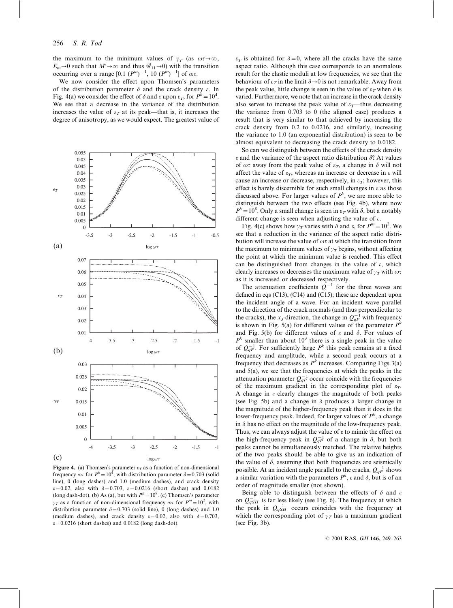the maximum to the minimum values of  $\gamma_T$  (as  $\omega \tau \rightarrow \infty$ ,  $E_m\to 0$  such that  $M'\to\infty$  and thus  $\tilde{\mathcal{W}}_{11}\to 0$ ) with the transition occurring over a range  $[0.1 (P<sup>m</sup>)<sup>-1</sup>, 10 (P<sup>m</sup>)<sup>-1</sup>]$  of  $\omega \tau$ .

We now consider the effect upon Thomsen's parameters of the distribution parameter  $\delta$  and the crack density  $\varepsilon$ . In Fig. 4(a) we consider the effect of  $\delta$  and  $\varepsilon$  upon  $\varepsilon_T$ , for  $P^k = 10^4$ . We see that a decrease in the variance of the distribution increases the value of  $\varepsilon_T$  at its peak—that is, it increases the degree of anisotropy, as we would expect. The greatest value of



Figure 4. (a) Thomsen's parameter  $\varepsilon_T$  as a function of non-dimensional frequency  $\omega \tau$  for  $P^k = 10^{\overline{4}}$ , with distribution parameter  $\delta = 0.703$  (solid line), 0 (long dashes) and 1.0 (medium dashes), and crack density  $\varepsilon$ =0.02, also with  $\delta$ =0.703,  $\varepsilon$ =0.0216 (short dashes) and 0.0182 (long dash-dot). (b) As (a), but with  $P<sup>k</sup> = 10<sup>8</sup>$ . (c) Thomsen's parameter  $\gamma_T$  as a function of non-dimensional frequency  $\omega\tau$  for  $P^m=10^2$ , with distribution parameter  $\delta = 0.703$  (solid line), 0 (long dashes) and 1.0 (medium dashes), and crack density  $\varepsilon = 0.02$ , also with  $\delta = 0.703$ ,  $\varepsilon$ =0.0216 (short dashes) and 0.0182 (long dash-dot).

 $\varepsilon_T$  is obtained for  $\delta = 0$ , where all the cracks have the same aspect ratio. Although this case corresponds to an anomalous result for the elastic moduli at low frequencies, we see that the behaviour of  $\varepsilon_T$  in the limit  $\delta \rightarrow 0$  is not remarkable. Away from the peak value, little change is seen in the value of  $\varepsilon_T$  when  $\delta$  is varied. Furthermore, we note that an increase in the crack density also serves to increase the peak value of  $\varepsilon_T$ —thus decreasing the variance from 0.703 to 0 (the aligned case) produces a result that is very similar to that achieved by increasing the crack density from 0.2 to 0.0216, and similarly, increasing the variance to 1.0 (an exponential distribution) is seen to be almost equivalent to decreasing the crack density to 0.0182.

So can we distinguish between the effects of the crack density  $\varepsilon$  and the variance of the aspect ratio distribution  $\delta$ ? At values of  $\omega\tau$  away from the peak value of  $\varepsilon_T$ , a change in  $\delta$  will not affect the value of  $\varepsilon_T$ , whereas an increase or decrease in  $\varepsilon$  will cause an increase or decrease, respectively, in  $\varepsilon_T$ ; however, this effect is barely discernible for such small changes in  $\varepsilon$  as those discussed above. For larger values of  $P^k$ , we are more able to distinguish between the two effects (see Fig. 4b), where now  $P^k = 10^8$ . Only a small change is seen in  $\varepsilon_T$  with  $\delta$ , but a notably different change is seen when adjusting the value of  $\varepsilon$ .

Fig. 4(c) shows how  $\gamma_T$  varies with  $\delta$  and  $\varepsilon$ , for  $P^m=10^2$ . We see that a reduction in the variance of the aspect ratio distribution will increase the value of  $\omega\tau$  at which the transition from the maximum to minimum values of  $\gamma_T$  begins, without affecting the point at which the minimum value is reached. This effect can be distinguished from changes in the value of  $\varepsilon$ , which clearly increases or decreases the maximum value of  $\gamma_T$  with  $\omega\tau$ as it is increased or decreased respectively.

The attenuation coefficients  $Q^{-1}$  for the three waves are defined in eqs (C13), (C14) and (C15); these are dependent upon the incident angle of a wave. For an incident wave parallel to the direction of the crack normals (and thus perpendicular to the cracks), the x<sub>3</sub>-direction, the change in  $Q_{qP}^{-1}$  with frequency is shown in Fig. 5(a) for different values of the parameter  $P^k$ and Fig. 5(b) for different values of  $\varepsilon$  and  $\delta$ . For values of  $P<sup>k</sup>$  smaller than about 10<sup>3</sup> there is a single peak in the value of  $Q_{qP}^{-1}$ . For sufficiently large  $P^k$  this peak remains at a fixed frequency and amplitude, while a second peak occurs at a frequency that decreases as  $P^k$  increases. Comparing Figs 3(a) and 5(a), we see that the frequencies at which the peaks in the attenuation parameter  $Q_{qP}^{-1}$  occur coincide with the frequencies of the maximum gradient in the corresponding plot of  $\varepsilon_T$ . A change in  $\varepsilon$  clearly changes the magnitude of both peaks (see Fig. 5b) and a change in  $\delta$  produces a larger change in the magnitude of the higher-frequency peak than it does in the lower-frequency peak. Indeed, for larger values of  $P^k$ , a change in  $\delta$  has no effect on the magnitude of the low-frequency peak. Thus, we can always adjust the value of  $\varepsilon$  to mimic the effect on the high-frequency peak in  $Q_{qP}^{-1}$  of a change in  $\delta$ , but both peaks cannot be simultaneously matched. The relative heights of the two peaks should be able to give us an indication of the value of  $\delta$ , assuming that both frequencies are seismically possible. At an incident angle parallel to the cracks,  $Q_{ap}^{-1}$  shows a similar variation with the parameters  $P^k$ ,  $\varepsilon$  and  $\delta$ , but is of an order of magnitude smaller (not shown).

Being able to distinguish between the effects of  $\delta$  and  $\varepsilon$ on  $Q_{qSH}^{-1}$  is far less likely (see Fig. 6). The frequency at which the peak in  $Q_{qSH}^{-1}$  occurs coincides with the frequency at which the corresponding plot of  $\gamma_T$  has a maximum gradient (see Fig. 3b).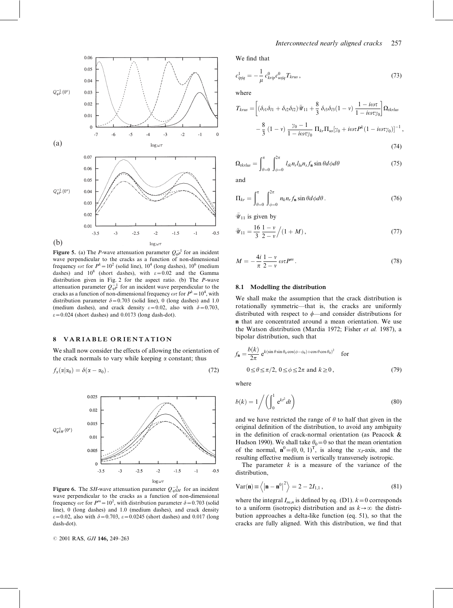

**Figure 5.** (a) The *P*-wave attenuation parameter  $Q_{ap}^{-1}$  for an incident wave perpendicular to the cracks as a function of non-dimensional frequency  $\omega\tau$  for  $P^k = 10^2$  (solid line), 10<sup>4</sup> (long dashes), 10<sup>6</sup> (medium dashes) and  $10^8$  (short dashes), with  $\varepsilon = 0.02$  and the Gamma distribution given in Fig. 2 for the aspect ratio. (b) The P-wave attenuation parameter  $Q_{qP}^{-1}$  for an incident wave perpendicular to the cracks as a function of non-dimensional frequency  $\omega\tau$  for  $P^k = 10^4$ , with distribution parameter  $\delta = 0.703$  (solid line), 0 (long dashes) and 1.0 (medium dashes), and crack density  $\varepsilon = 0.02$ , also with  $\delta = 0.703$ ,  $\varepsilon$ =0.024 (short dashes) and 0.0173 (long dash-dot).

#### 8 VARIABLE ORIENTATION

We shall now consider the effects of allowing the orientation of the crack normals to vary while keeping  $\alpha$  constant; thus

$$
f_{\alpha}(\alpha|\alpha_0) = \delta(\alpha - \alpha_0). \tag{72}
$$



Figure 6. The SH-wave attenuation parameter  $Q_{qSH}^{-1}$  for an incident wave perpendicular to the cracks as a function of non-dimensional frequency  $\omega\tau$  for  $P^m = 10^2$ , with distribution parameter  $\delta = 0.703$  (solid line), 0 (long dashes) and 1.0 (medium dashes), and crack density  $\varepsilon$ =0.02, also with  $\delta$ =0.703,  $\varepsilon$ =0.0245 (short dashes) and 0.017 (long dash-dot).

© 2001 RAS, GJI 146, 249-263

We find that

$$
c_{ipjq}^1 = -\frac{1}{\mu} c_{krip}^0 c_{usjq}^0 T_{krus} , \qquad (73)
$$

where

$$
T_{krus} = \left[ (\delta_{t1}\delta_{l1} + \delta_{t2}\delta_{l2})\bar{\mathcal{U}}_{11} + \frac{8}{3}\delta_{t3}\delta_{l3}(1-\nu)\frac{1-i\omega\tau}{1-i\omega\tau\gamma_0} \right] \Omega_{tkrhus}
$$

$$
-\frac{8}{3}(1-\nu)\frac{\gamma_0-1}{1-i\omega\tau\gamma_0} \Pi_{kr}\Pi_{us}[\gamma_0 + i\omega\tau P^k(1-i\omega\tau\gamma_0)]^{-1},
$$

$$
(74)
$$

$$
\Omega_{tkrlus} = \int_{\theta=0}^{\pi} \int_{\phi=0}^{2\pi} l_{tk} n_r l_{lu} n_s f_{\mathbf{n}} \sin \theta d\phi d\theta \tag{75}
$$

and

$$
\Pi_{kr} = \int_{\theta=0}^{\pi} \int_{\phi=0}^{2\pi} n_k n_r f_n \sin \theta d\phi d\theta.
$$
 (76)

 $\bar{\mathcal{U}}_{11}$  is given by

$$
\bar{u}_{11} = \frac{16}{3} \frac{1 - v}{2 - v} / (1 + M), \qquad (77)
$$

$$
M = -\frac{4i}{\pi} \frac{1 - v}{2 - v} \omega \tau P^{m}.
$$
\n(78)

#### 8.1 Modelling the distribution

We shall make the assumption that the crack distribution is rotationally symmetric—that is, the cracks are uniformly distributed with respect to  $\phi$ —and consider distributions for n that are concentrated around a mean orientation. We use the Watson distribution (Mardia 1972; Fisher et al. 1987), a bipolar distribution, such that

$$
f_{\mathbf{n}} = \frac{b(k)}{2\pi} e^{k(\sin \theta \sin \theta_0 \cos(\phi - \phi_0) + \cos \theta \cos \theta_0)^2} \quad \text{for}
$$
  
 
$$
0 \le \theta \le \pi/2, \ 0 \le \phi \le 2\pi \text{ and } k \ge 0,
$$
 (79)

where

$$
b(k) = 1 \bigg/ \bigg( \int_0^1 e^{kt^2} dt \bigg)
$$
\n(80)

and we have restricted the range of  $\theta$  to half that given in the original definition of the distribution, to avoid any ambiguity in the definition of crack-normal orientation (as Peacock & Hudson 1990). We shall take  $\theta_0=0$  so that the mean orientation of the normal,  $\mathbf{n}^0 = (0, 0, 1)^T$ , is along the x<sub>3</sub>-axis, and the resulting effective medium is vertically transversely isotropic.

The parameter  $k$  is a measure of the variance of the distribution,

$$
Var(\mathbf{n}) \equiv \left\langle \left| \mathbf{n} - \mathbf{n}^0 \right|^2 \right\rangle = 2 - 2I_{1,1}, \qquad (81)
$$

where the integral  $I_{m,n}$  is defined by eq. (D1).  $k=0$  corresponds to a uniform (isotropic) distribution and as  $k \rightarrow \infty$  the distribution approaches a delta-like function (eq. 51), so that the cracks are fully aligned. With this distribution, we find that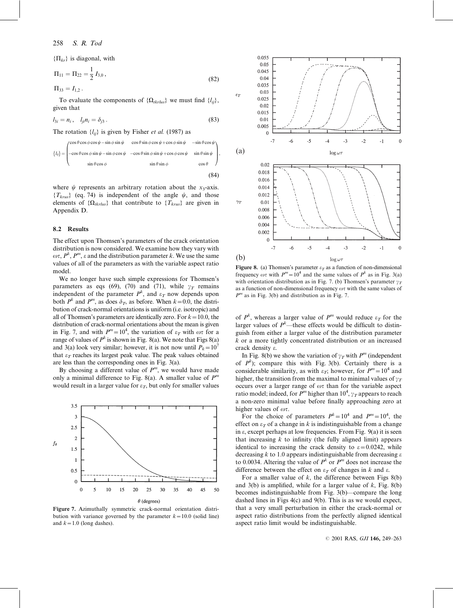$\{\Pi_{kr}\}\$ is diagonal, with

$$
\Pi_{11} = \Pi_{22} = \frac{1}{2} I_{3,0},\tag{82}
$$

 $\Pi_{33} = I_{1,2}$ .

To evaluate the components of  $\{\Omega_{tkrlus}\}\$  we must find  $\{l_{ii}\}\$ , given that

$$
l_{3i} = n_i, \quad l_{ji} n_i = \delta_{j3} \,. \tag{83}
$$

The rotation  $\{l_{ii}\}\$ is given by Fisher *et al.* (1987) as

$$
\{l_{ij}\} = \begin{pmatrix}\n\cos\theta\cos\phi\cos\psi - \sin\phi\sin\psi & \cos\theta\sin\phi\cos\psi + \cos\phi\sin\psi & -\sin\theta\cos\psi \\
-\cos\theta\cos\phi\sin\psi - \sin\phi\cos\psi & -\cos\theta\sin\phi\sin\psi + \cos\phi\cos\psi & \sin\theta\sin\psi \\
\sin\theta\cos\phi & \sin\theta\sin\phi & \cos\theta\n\end{pmatrix},
$$
\n(84)

where  $\psi$  represents an arbitrary rotation about the x<sub>3</sub>-axis.  ${T_{krus}}$  (eq. 74) is independent of the angle  $\psi$ , and those elements of  $\{\Omega_{tkrlus}\}\$  that contribute to  $\{T_{krus}\}\$  are given in Appendix D.

#### 8.2 Results

The effect upon Thomsen's parameters of the crack orientation distribution is now considered. We examine how they vary with  $\omega \tau$ ,  $P^k$ ,  $P^m$ ,  $\varepsilon$  and the distribution parameter k. We use the same values of all of the parameters as with the variable aspect ratio model.

We no longer have such simple expressions for Thomsen's parameters as eqs (69), (70) and (71), while  $\gamma_T$  remains independent of the parameter  $P^k$ , and  $\varepsilon_T$  now depends upon both  $P^k$  and  $P^m$ , as does  $\delta_T$ , as before. When  $k=0.0$ , the distribution of crack-normal orientations is uniform (i.e. isotropic) and all of Thomsen's parameters are identically zero. For  $k=10.0$ , the distribution of crack-normal orientations about the mean is given in Fig. 7, and with  $P^m = 10^4$ , the variation of  $\varepsilon_T$  with  $\omega\tau$  for a range of values of  $P^k$  is shown in Fig. 8(a). We note that Figs 8(a) and 3(a) look very similar; however, it is not now until  $P_k=10^7$ that  $\varepsilon_T$  reaches its largest peak value. The peak values obtained are less than the corresponding ones in Fig. 3(a).

By choosing a different value of  $P<sup>m</sup>$ , we would have made only a minimal difference to Fig. 8(a). A smaller value of  $P<sup>m</sup>$ would result in a larger value for  $\varepsilon_T$ , but only for smaller values



Figure 7. Azimuthally symmetric crack-normal orientation distribution with variance governed by the parameter  $k=10.0$  (solid line) and  $k=1.0$  (long dashes).



Figure 8. (a) Thomsen's parameter  $\varepsilon_T$  as a function of non-dimensional frequency  $\omega \tau$  with  $P^m=10^4$  and the same values of  $P^k$  as in Fig. 3(a) with orientation distribution as in Fig. 7. (b) Thomsen's parameter  $\gamma_T$ as a function of non-dimensional frequency  $\omega\tau$  with the same values of  $P<sup>m</sup>$  as in Fig. 3(b) and distribution as in Fig. 7.

of  $P^k$ , whereas a larger value of  $P^m$  would reduce  $\varepsilon_T$  for the larger values of  $P^k$ —these effects would be difficult to distinguish from either a larger value of the distribution parameter  $k$  or a more tightly concentrated distribution or an increased crack density e.

In Fig. 8(b) we show the variation of  $\gamma_T$  with P<sup>m</sup> (independent of  $P^k$ ); compare this with Fig. 3(b). Certainly there is a considerable similarity, as with  $\varepsilon_T$ ; however, for  $P^m=10^4$  and higher, the transition from the maximal to minimal values of  $\gamma_T$ occurs over a larger range of  $\omega\tau$  than for the variable aspect ratio model; indeed, for  $P^m$  higher than  $10^4$ ,  $\gamma_T$  appears to reach a non-zero minimal value before finally approaching zero at higher values of  $\omega \tau$ .

For the choice of parameters  $P^k = 10^4$  and  $P^m = 10^4$ , the effect on  $\varepsilon_T$  of a change in k is indistinguishable from a change in  $\varepsilon$ , except perhaps at low frequencies. From Fig. 9(a) it is seen that increasing  $k$  to infinity (the fully aligned limit) appears identical to increasing the crack density to  $\varepsilon = 0.0242$ , while decreasing k to 1.0 appears indistinguishable from decreasing  $\varepsilon$ to 0.0034. Altering the value of  $P^k$  or  $P^m$  does not increase the difference between the effect on  $\varepsilon_T$  of changes in k and  $\varepsilon$ .

For a smaller value of  $k$ , the difference between Figs  $8(b)$ and  $3(b)$  is amplified, while for a larger value of k, Fig. 8(b) becomes indistinguishable from Fig. 3(b)—compare the long dashed lines in Figs 4(c) and 9(b). This is as we would expect, that a very small perturbation in either the crack-normal or aspect ratio distributions from the perfectly aligned identical aspect ratio limit would be indistinguishable.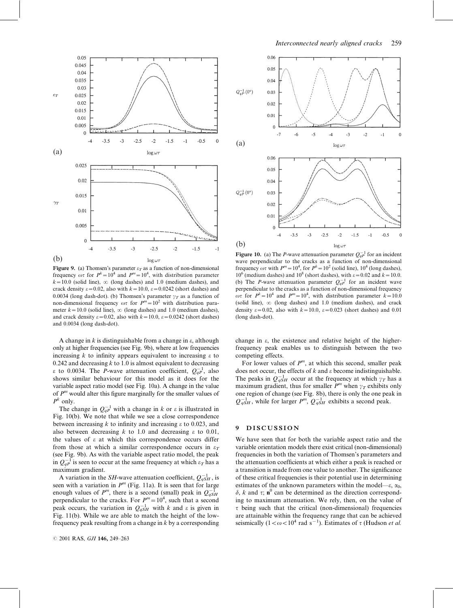

Figure 9. (a) Thomsen's parameter  $\varepsilon_T$  as a function of non-dimensional frequency  $\omega\tau$  for  $P^k = 10^4$  and  $P^m = 10^4$ , with distribution parameter  $k=10.0$  (solid line),  $\infty$  (long dashes) and 1.0 (medium dashes), and crack density  $\varepsilon = 0.02$ , also with  $k = 10.0$ ,  $\varepsilon = 0.0242$  (short dashes) and 0.0034 (long dash-dot). (b) Thomsen's parameter  $\gamma_T$  as a function of non-dimensional frequency  $\omega \tau$  for  $P^m=10^2$  with distribution parameter  $k=10.0$  (solid line),  $\infty$  (long dashes) and 1.0 (medium dashes), and crack density  $\varepsilon = 0.02$ , also with  $k = 10.0$ ,  $\varepsilon = 0.0242$  (short dashes) and 0.0034 (long dash-dot).

A change in  $k$  is distinguishable from a change in  $\varepsilon$ , although only at higher frequencies (see Fig. 9b), where at low frequencies increasing  $k$  to infinity appears equivalent to increasing  $\varepsilon$  to 0.242 and decreasing  $k$  to 1.0 is almost equivalent to decreasing  $\varepsilon$  to 0.0034. The *P*-wave attenuation coefficient,  $Q_{qP}^{-1}$ , also shows similar behaviour for this model as it does for the variable aspect ratio model (see Fig. 10a). A change in the value of  $P<sup>m</sup>$  would alter this figure marginally for the smaller values of  $P^k$  only.

The change in  $Q_{qP}^{-1}$  with a change in k or  $\varepsilon$  is illustrated in Fig. 10(b). We note that while we see a close correspondence between increasing k to infinity and increasing  $\varepsilon$  to 0.023, and also between decreasing k to 1.0 and decreasing  $\varepsilon$  to 0.01, the values of  $\varepsilon$  at which this correspondence occurs differ from those at which a similar correspondence occurs in  $\varepsilon_T$ (see Fig. 9b). As with the variable aspect ratio model, the peak in  $Q_{qP}^{-1}$  is seen to occur at the same frequency at which  $\varepsilon_T$  has a maximum gradient.

A variation in the SH-wave attenuation coefficient,  $Q_{qSH}^{-1}$ , is seen with a variation in  $P<sup>m</sup>$  (Fig. 11a). It is seen that for large enough values of  $P^m$ , there is a second (small) peak in  $Q_{qSH}^{-1}$ perpendicular to the cracks. For  $P^m = 10^4$ , such that a second peak occurs, the variation in  $Q_{qSH}^{-1}$  with k and  $\varepsilon$  is given in Fig. 11(b). While we are able to match the height of the lowfrequency peak resulting from a change in  $k$  by a corresponding



**Figure 10.** (a) The *P*-wave attenuation parameter  $Q_{qP}^{-1}$  for an incident wave perpendicular to the cracks as a function of non-dimensional frequency  $\omega \tau$  with  $P^m = 10^4$ , for  $P^k = 10^2$  (solid line), 10<sup>4</sup> (long dashes),  $10^6$  (medium dashes) and  $10^8$  (short dashes), with  $\varepsilon = 0.02$  and  $k = 10.0$ . (b) The P-wave attenuation parameter  $Q_{ap}^{-1}$  for an incident wave perpendicular to the cracks as a function of non-dimensional frequency  $\omega \tau$  for  $P^k = 10^4$  and  $P^m = 10^4$ , with distribution parameter  $k = 10.0$ (solid line),  $\infty$  (long dashes) and 1.0 (medium dashes), and crack density  $\varepsilon = 0.02$ , also with  $k=10.0$ ,  $\varepsilon = 0.023$  (short dashes) and 0.01 (long dash-dot).

change in  $\varepsilon$ , the existence and relative height of the higherfrequency peak enables us to distinguish between the two competing effects.

For lower values of  $P^m$ , at which this second, smaller peak does not occur, the effects of  $k$  and  $\varepsilon$  become indistinguishable. The peaks in  $Q_{qSH}^{-1}$  occur at the frequency at which  $\gamma_T$  has a maximum gradient, thus for smaller  $P^m$  when  $\gamma_T$  exhibits only one region of change (see Fig. 8b), there is only the one peak in  $Q_{qSH}^{-1}$ , while for larger  $P^m$ ,  $Q_{qSH}^{-1}$  exhibits a second peak.

## 9 DISCUSSION

We have seen that for both the variable aspect ratio and the variable orientation models there exist critical (non-dimensional) frequencies in both the variation of Thomsen's parameters and the attenuation coefficients at which either a peak is reached or a transition is made from one value to another. The significance of these critical frequencies is their potential use in determining estimates of the unknown parameters within the model— $\varepsilon$ ,  $\alpha_0$ ,  $\delta$ , k and  $\tau$ ; n<sup>0</sup> can be determined as the direction corresponding to maximum attenuation. We rely, then, on the value of  $\tau$  being such that the critical (non-dimensional) frequencies are attainable within the frequency range that can be achieved seismically  $(1 < \omega < 10^4 \text{ rad s}^{-1})$ . Estimates of  $\tau$  (Hudson *et al.*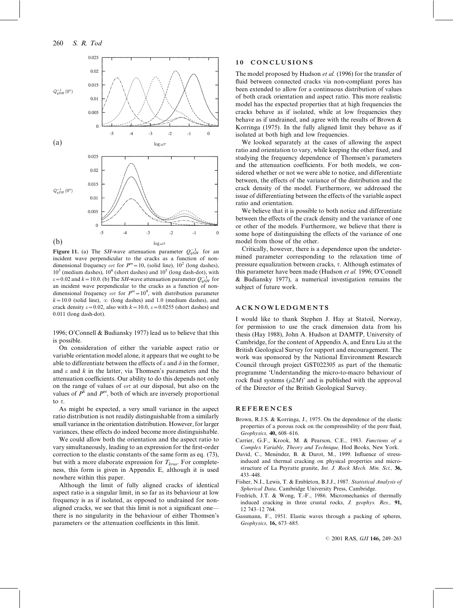

Figure 11. (a) The *SH*-wave attenuation parameter  $Q_{aSH}^{-1}$  for an incident wave perpendicular to the cracks as a function of nondimensional frequency  $\omega \tau$  for  $P^m=10$ , (solid line),  $10^2$  (long dashes),  $10^3$  (medium dashes),  $10^4$  (short dashes) and  $10^5$  (long dash-dot), with  $\varepsilon$ =0.02 and  $k$  = 10.0. (b) The SH-wave attenuation parameter  $Q_{aSH}^{-1}$  for an incident wave perpendicular to the cracks as a function of nondimensional frequency  $\omega \tau$  for  $P^m=10^4$ , with distribution parameter  $k=10.0$  (solid line),  $\infty$  (long dashes) and 1.0 (medium dashes), and crack density  $\varepsilon = 0.02$ , also with  $k=10.0$ ,  $\varepsilon = 0.0255$  (short dashes) and 0.011 (long dash-dot).

1996; O'Connell & Budiansky 1977) lead us to believe that this is possible.

On consideration of either the variable aspect ratio or variable orientation model alone, it appears that we ought to be able to differentiate between the effects of  $\varepsilon$  and  $\delta$  in the former, and  $\varepsilon$  and  $k$  in the latter, via Thomsen's parameters and the attenuation coefficients. Our ability to do this depends not only on the range of values of  $\omega\tau$  at our disposal, but also on the values of  $P^k$  and  $P^m$ , both of which are inversely proportional to  $\tau$ .

As might be expected, a very small variance in the aspect ratio distribution is not readily distinguishable from a similarly small variance in the orientation distribution. However, for larger variances, these effects do indeed become more distinguishable.

We could allow both the orientation and the aspect ratio to vary simultaneously, leading to an expression for the first-order correction to the elastic constants of the same form as eq. (73), but with a more elaborate expression for  $T_{krus}$ . For completeness, this form is given in Appendix E, although it is used nowhere within this paper.

Although the limit of fully aligned cracks of identical aspect ratio is a singular limit, in so far as its behaviour at low frequency is as if isolated, as opposed to undrained for nonaligned cracks, we see that this limit is not a significant one there is no singularity in the behaviour of either Thomsen's parameters or the attenuation coefficients in this limit.

#### 10 CONCLUSIONS

The model proposed by Hudson et al. (1996) for the transfer of fluid between connected cracks via non-compliant pores has been extended to allow for a continuous distribution of values of both crack orientation and aspect ratio. This more realistic model has the expected properties that at high frequencies the cracks behave as if isolated, while at low frequencies they behave as if undrained, and agree with the results of Brown & Korringa (1975). In the fully aligned limit they behave as if isolated at both high and low frequencies.

We looked separately at the cases of allowing the aspect ratio and orientation to vary, while keeping the other fixed, and studying the frequency dependence of Thomsen's parameters and the attenuation coefficients. For both models, we considered whether or not we were able to notice, and differentiate between, the effects of the variance of the distribution and the crack density of the model. Furthermore, we addressed the issue of differentiating between the effects of the variable aspect ratio and orientation.

We believe that it is possible to both notice and differentiate between the effects of the crack density and the variance of one or other of the models. Furthermore, we believe that there is some hope of distinguishing the effects of the variance of one model from those of the other.

Critically, however, there is a dependence upon the undetermined parameter corresponding to the relaxation time of pressure equalization between cracks,  $\tau$ . Although estimates of this parameter have been made (Hudson et al. 1996; O'Connell & Budiansky 1977), a numerical investigation remains the subject of future work.

## ACKNOWLEDGMENTS

I would like to thank Stephen J. Hay at Statoil, Norway, for permission to use the crack dimension data from his thesis (Hay 1988), John A. Hudson at DAMTP, University of Cambridge, for the content of Appendix A, and Enru Liu at the British Geological Survey for support and encouragement. The work was sponsored by the National Environment Research Council through project GST022305 as part of the thematic programme 'Understanding the micro-to-macro behaviour of rock fluid systems  $(\mu 2M)$ ' and is published with the approval of the Director of the British Geological Survey.

## REFERENCES

- Brown, R.J.S. & Korringa, J., 1975. On the dependence of the elastic properties of a porous rock on the compressibility of the pore fluid, Geophysics, 40, 608–616.
- Carrier, G.F., Krook, M. & Pearson, C.E., 1983. Functions of a Complex Variable, Theory and Technique, Hod Books, New York.
- David, C., Menéndez, B. & Darot, M., 1999. Influence of stressinduced and thermal cracking on physical properties and microstructure of La Peyratte granite, Int. J. Rock Mech. Min. Sci., 36, 433–448.
- Fisher, N.I., Lewis, T. & Embleton, B.J.J., 1987. Statistical Analysis of Spherical Data, Cambridge University Press, Cambridge.
- Fredrich, J.T. & Wong, T.-F., 1986. Micromechanics of thermally induced cracking in three crustal rocks, J. geophys. Res., 91, 12 743–12 764.
- Gassmann, F., 1951. Elastic waves through a packing of spheres, Geophysics, 16, 673–685.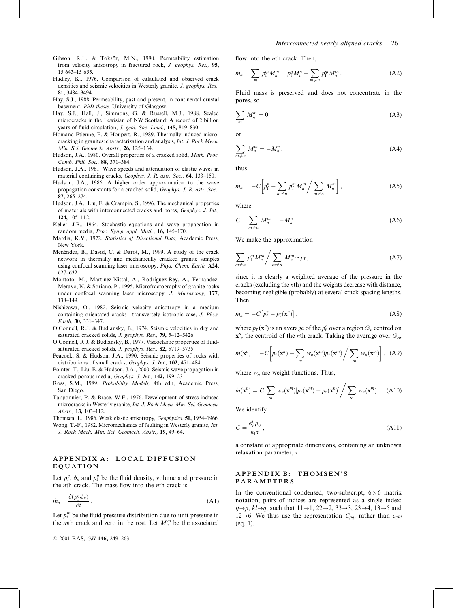- Gibson, R.L. & Toksöz, M.N., 1990. Permeability estimation from velocity anisotropy in fractured rock, J. geophys. Res., 95, 15 643–15 655.
- Hadley, K., 1976. Comparison of calaulated and observed crack densities and seismic velocities in Westerly granite, J. geophys. Res., 81, 3484–3494.
- Hay, S.J., 1988. Permeability, past and present, in continental crustal basement, PhD thesis, University of Glasgow.
- Hay, S.J., Hall, J., Simmons, G. & Russell, M.J., 1988. Sealed microcracks in the Lewisian of NW Scotland: A record of 2 billion years of fluid circulation, J. geol. Soc. Lond., 145, 819-830.
- Homand-Etienne, F. & Houpert, R., 1989. Thermally induced microcracking in granites: characterization and analysis, Int. J. Rock Mech. Min. Sci. Geomech. Abstr., 26, 125–134.
- Hudson, J.A., 1980. Overall properties of a cracked solid, Math. Proc. Camb. Phil. Soc., 88, 371–384.
- Hudson, J.A., 1981. Wave speeds and attenuation of elastic waves in material containing cracks, Geophys. J. R. astr. Soc., 64, 133–150.
- Hudson, J.A., 1986. A higher order approximation to the wave propagation constants for a cracked solid, Geophys. J. R. astr. Soc., 87, 265–274.
- Hudson, J.A., Liu, E. & Crampin, S., 1996. The mechanical properties of materials with interconnected cracks and pores, Geophys. J. Int., 124, 105–112.
- Keller, J.B., 1964. Stochastic equations and wave propagation in random media, Proc. Symp. appl. Math., 16, 145–170.
- Mardia, K.V., 1972. Statistics of Directional Data, Academic Press, New York.
- Menéndez, B., David, C. & Darot, M., 1999. A study of the crack network in thermally and mechanically cracked granite samples using confocal scanning laser microscopy, Phys. Chem. Earth, A24, 627–632.
- Montoto, M., Martínez-Nistal, A., Rodríguez-Rey, A., Fernández-Merayo, N. & Soriano, P., 1995. Microfractography of granite rocks under confocal scanning laser microscopy, J. Microscopy, 177, 138–149.
- Nishizawa, O., 1982. Seismic velocity anisotropy in a medium containing orientated cracks—transversely isotropic case, J. Phys. Earth, 30, 331–347.
- O'Connell, R.J. & Budiansky, B., 1974. Seismic velocities in dry and saturated cracked solids, J. geophys. Res., 79, 5412-5426.
- O'Connell, R.J. & Budiansky, B., 1977. Viscoelastic properties of fluidsaturated cracked solids, J. geophys. Res., 82, 5719-5735.
- Peacock, S. & Hudson, J.A., 1990. Seismic properties of rocks with distributions of small cracks, Geophys. J. Int., 102, 471-484.
- Pointer, T., Liu, E. & Hudson, J.A., 2000. Seismic wave propagation in cracked porous media, Geophys. J. Int., 142, 199–231.
- Ross, S.M., 1989. Probability Models, 4th edn, Academic Press, San Diego.
- Tapponnier, P. & Brace, W.F., 1976. Development of stress-induced microcracks in Westerly granite, Int. J. Rock Mech. Min. Sci. Geomech. Abstr., 13, 103–112.
- Thomsen, L., 1986. Weak elastic anisotropy, Geophysics, 51, 1954–1966. Wong, T.-F., 1982. Micromechanics of faulting in Westerly granite, Int. J. Rock Mech. Min. Sci. Geomech. Abstr., 19, 49–64.

## APPENDIX A: LOCAL DIFFUSION EQUATION

Let  $\rho_f^n$ ,  $\phi_n$  and  $p_f^n$  be the fluid density, volume and pressure in the nth crack. The mass flow into the nth crack is

$$
m_n = \frac{\partial(\rho_i^n \phi_n)}{\partial t} \,. \tag{A1}
$$

Let  $p_f^m$  be the fluid pressure distribution due to unit pressure in the *m*th crack and zero in the rest. Let  $M_n^m$  be the associated flow into the *n*th crack. Then,

$$
\dot{m}_n = \sum_m p_1^m M_n^m = p_1^n M_n^n + \sum_{m \neq n} p_1^m M_n^m. \tag{A2}
$$

Fluid mass is preserved and does not concentrate in the pores, so

$$
\sum_{m} M_n^m = 0 \tag{A3}
$$

or

$$
\sum_{m \neq n} M_n^m = -M_n^n, \qquad (A4)
$$

thus

$$
\dot{m}_n = -C \left[ p_1^n - \sum_{m \neq n} p_1^m M_n^m / \sum_{m \neq n} M_n^m \right], \tag{A5}
$$

where

$$
C = \sum_{m \neq n} M_n^m = -M_n^n. \tag{A6}
$$

We make the approximation

$$
\sum_{m \neq n} p_1^m M_n^m / \sum_{m \neq n} M_n^m \simeq p_f, \qquad (A7)
$$

since it is clearly a weighted average of the pressure in the cracks (excluding the nth) and the weights decrease with distance, becoming negligible (probably) at several crack spacing lengths. Then

$$
\dot{m}_n = -C\big[p_1^n - p_f(\mathbf{x}^n)\big],\tag{A8}
$$

where  $p_f(\mathbf{x}^n)$  is an average of the  $p_f^n$  over a region  $\mathcal{D}_n$  centred on  $x^n$ , the centroid of the *n*th crack. Taking the average over  $\mathcal{D}_n$ ,

$$
\dot{m}(\mathbf{x}^n) = -C \left[ p_f(\mathbf{x}^n) - \sum_m w_n(\mathbf{x}^m) p_f(\mathbf{x}^m) / \sum_m w_n(\mathbf{x}^m) \right], \text{ (A9)}
$$

where  $w_n$  are weight functions. Thus,

$$
\dot{m}(\mathbf{x}^n) = C \sum_m w_n(\mathbf{x}^m) [p_f(\mathbf{x}^m) - p_f(\mathbf{x}^n)] / \sum_m w_n(\mathbf{x}^m).
$$
 (A10)

We identify

$$
C = \frac{\phi_n^0 \rho_0}{\kappa_f \tau} \,,\tag{A11}
$$

a constant of appropriate dimensions, containing an unknown relaxation parameter,  $\tau$ .

## APPENDIX B: THOMSEN'S PARAMETERS

In the conventional condensed, two-subscript,  $6 \times 6$  matrix notation, pairs of indices are represented as a single index:  $ij\rightarrow p$ ,  $kl\rightarrow q$ , such that  $11\rightarrow 1$ ,  $22\rightarrow 2$ ,  $33\rightarrow 3$ ,  $23\rightarrow 4$ ,  $13\rightarrow 5$  and 12 $\rightarrow$ 6. We thus use the representation  $C_{pq}$ , rather than  $c_{ijkl}$ (eq. 1).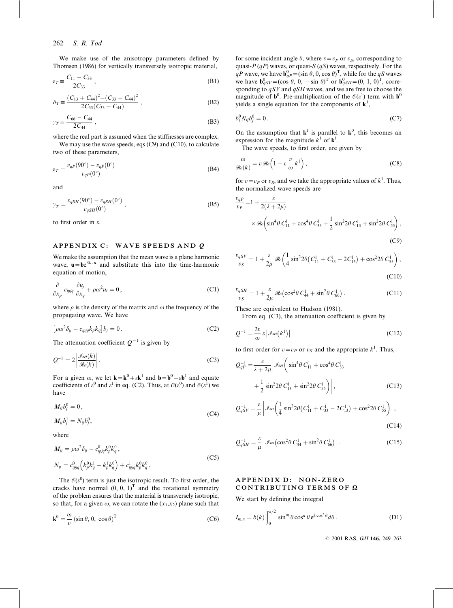We make use of the anisotropy parameters defined by Thomsen (1986) for vertically transversely isotropic material,

$$
\varepsilon_T \equiv \frac{C_{11} - C_{33}}{2C_{33}},
$$
 (B1)

$$
\delta_T \equiv \frac{(C_{13} + C_{44})^2 - (C_{33} - C_{44})^2}{2C_{33}(C_{33} - C_{44})},
$$
\n(B2)

$$
\gamma_T \equiv \frac{C_{66} - C_{44}}{2C_{44}},
$$
\n(B3)

where the real part is assumed when the stiffnesses are complex. We may use the wave speeds, eqs (C9) and (C10), to calculate

two of these parameters,

$$
\varepsilon_T = \frac{v_{qP}(90^\circ) - v_{qP}(0^\circ)}{v_{qP}(0^\circ)}\tag{B4}
$$

and

$$
\gamma_T = \frac{v_{qSH}(90^\circ) - v_{qSH}(0^\circ)}{v_{qSH}(0^\circ)},
$$
\n(B5)

to first order in e.

## APPENDIX C: WAVE SPEEDS AND Q

We make the assumption that the mean wave is a plane harmonic wave,  $\mathbf{u} = \mathbf{b} e^{i\mathbf{k} \cdot \mathbf{x}}$  and substitute this into the time-harmonic equation of motion,

$$
\frac{\partial}{\partial x_p} c_{ipjq} \frac{\partial u_j}{\partial x_q} + \rho \omega^2 u_i = 0, \qquad (C1)
$$

where  $\rho$  is the density of the matrix and  $\omega$  the frequency of the propagating wave. We have

$$
\left[\rho\omega^2\delta_{ij} - c_{ipjq}k_p k_q\right]b_j = 0.
$$
 (C2)

The attenuation coefficient  $Q^{-1}$  is given by

$$
Q^{-1} = 2 \left| \frac{\mathcal{I}m(k)}{\mathcal{R}(k)} \right|.
$$
 (C3)

For a given  $\omega$ , we let  $\mathbf{k} = \mathbf{k}^0 + \varepsilon \mathbf{k}^1$  and  $\mathbf{b} = \mathbf{b}^0 + \varepsilon \mathbf{b}^1$  and equate coefficients of  $\varepsilon^0$  and  $\varepsilon^1$  in eq. (C2). Thus, at  $\mathcal{O}(\varepsilon^0)$  and  $\mathcal{O}(\varepsilon^1)$  we have

$$
M_{ij}b_j^0 = 0,
$$
  
\n
$$
M_{ij}b_j^1 = N_{ij}b_j^0,
$$
\n(C4)

where

$$
M_{ij} = \rho \omega^2 \delta_{ij} - c_{ipjq}^0 k_p^0 k_q^0,
$$
  
\n
$$
N_{ij} = c_{ipjq}^0 \left( k_p^0 k_q^1 + k_p^1 k_q^0 \right) + c_{ipjq}^1 k_p^0 k_q^0.
$$
 (C5)

The  $\mathcal{O}(\varepsilon^0)$  term is just the isotropic result. To first order, the cracks have normal  $(0, 0, 1)^T$  and the rotational symmetry of the problem ensures that the material is transversely isotropic, so that, for a given  $\omega$ , we can rotate the  $(x_1, x_2)$  plane such that

$$
\mathbf{k}^{0} = \frac{\omega}{v} \left( \sin \theta, 0, \cos \theta \right)^{\mathrm{T}}
$$
 (C6)

for some incident angle  $\theta$ , where  $v=v_P$  or  $v_S$ , corresponding to quasi- $P(qP)$  waves, or quasi- $S(qS)$  waves, respectively. For the qP wave, we have  $\mathbf{b}_{qP}^0 = (\sin \theta, 0, \cos \theta)^T$ , while for the qS waves we have  $\mathbf{b}_{qSV}^0 = (\cos \theta, 0, -\sin \theta)^T$  or  $\mathbf{b}_{qSH}^0 = (0, 1, 0)^T$ , corresponding to  $qSV$  and  $qSH$  waves, and we are free to choose the magnitude of  $\mathbf{b}^0$ . Pre-multiplication of the  $\mathcal{O}(\varepsilon^1)$  term with  $\mathbf{b}^0$ yields a single equation for the components of  $\mathbf{k}^1$ ,

$$
b_i^0 N_{ij} b_j^0 = 0. \tag{C7}
$$

On the assumption that  $\mathbf{k}^1$  is parallel to  $\mathbf{k}^0$ , this becomes an expression for the magnitude  $k^1$  of  $\mathbf{k}^1$ .

The wave speeds, to first order, are given by

$$
\frac{\omega}{\Re(\epsilon k)} = v \Re(\epsilon \left(1 - \epsilon \frac{v}{\omega} k^1\right),\tag{C8}
$$

for  $v = v_P$  or  $v_S$ , and we take the appropriate values of  $k<sup>1</sup>$ . Thus, the normalized wave speeds are

$$
\frac{v_{qP}}{v_P} = 1 + \frac{\varepsilon}{2(\lambda + 2\mu)}
$$
  
\$\times \Re\left(\sin^4\theta C\_{11}^1 + \cos^4\theta C\_{33}^1 + \frac{1}{2}\sin^2 2\theta C\_{13}^1 + \sin^2 2\theta C\_{55}^1\right),\$ (C9)

$$
\frac{v_{qSV}}{v_S} = 1 + \frac{\varepsilon}{2\mu} \mathcal{R}e \left( \frac{1}{4} \sin^2 2\theta \left( C_{11}^1 + C_{33}^1 - 2C_{13}^1 \right) + \cos^2 2\theta C_{55}^1 \right),\tag{C10}
$$

$$
\frac{v_{qSH}}{v_S} = 1 + \frac{\varepsilon}{2\mu} \mathcal{R}e(\cos^2\theta C_{44}^1 + \sin^2\theta C_{66}^1). \tag{C11}
$$

These are equivalent to Hudson (1981).

From eq. (C3), the attenuation coefficient is given by

$$
Q^{-1} = \frac{2v}{\omega} \varepsilon \left| \mathcal{I}_m(k^1) \right| \tag{C12}
$$

to first order for  $v = v_P$  or  $v_S$  and the appropriate  $k<sup>1</sup>$ . Thus,

$$
Q_{qP}^{-1} = \frac{\varepsilon}{\lambda + 2\mu} \left| \mathcal{I}_m \left( \sin^4 \theta C_{11}^1 + \cos^4 \theta C_{33}^1 + \frac{1}{2} \sin^2 2\theta C_{13}^1 + \sin^2 2\theta C_{55}^1 \right) \right|, \tag{C13}
$$

$$
Q_{qSV}^{-1} = \frac{\varepsilon}{\mu} \left| \mathcal{I}_m \left( \frac{1}{4} \sin^2 2\theta \left( C_{11}^1 + C_{33}^1 - 2C_{13}^1 \right) + \cos^2 2\theta \, C_{55}^1 \right) \right|,
$$
\n(C14)

$$
Q_{qSH}^{-1} = \frac{\varepsilon}{\mu} \left| \mathcal{I}_m(\cos^2 \theta C_{44}^1 + \sin^2 \theta C_{66}^1) \right|.
$$
 (C15)

## APPENDIX D: NON-ZERO CONTRIBUTING TERMS OF  $\Omega$

We start by defining the integral

$$
I_{m,n} = b(k) \int_0^{\pi/2} \sin^m \theta \cos^n \theta e^{k \cos^2 \theta} d\theta.
$$
 (D1)

© 2001 RAS, GJI 146, 249-263